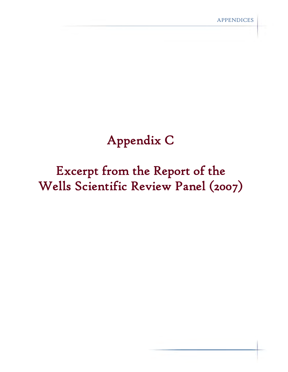# Appendix C

# Excerpt from the Report of the Wells Scientific Review Panel (2007)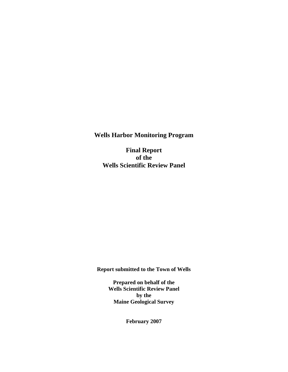**Wells Harbor Monitoring Program** 

**Final Report of the Wells Scientific Review Panel** 

**Report submitted to the Town of Wells** 

**Prepared on behalf of the Wells Scientific Review Panel by the Maine Geological Survey** 

**February 2007**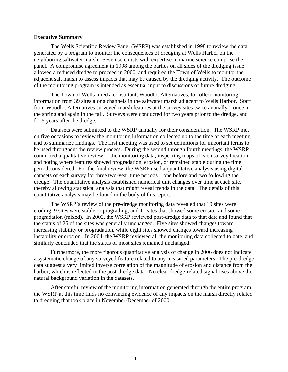#### **Executive Summary**

The Wells Scientific Review Panel (WSRP) was established in 1998 to review the data generated by a program to monitor the consequences of dredging at Wells Harbor on the neighboring saltwater marsh. Seven scientists with expertise in marine science comprise the panel. A compromise agreement in 1998 among the parties on all sides of the dredging issue allowed a reduced dredge to proceed in 2000, and required the Town of Wells to monitor the adjacent salt marsh to assess impacts that may be caused by the dredging activity. The outcome of the monitoring program is intended as essential input to discussions of future dredging.

The Town of Wells hired a consultant, Woodlot Alternatives, to collect monitoring information from 39 sites along channels in the saltwater marsh adjacent to Wells Harbor. Staff from Woodlot Alternatives surveyed marsh features at the survey sites twice annually – once in the spring and again in the fall. Surveys were conducted for two years prior to the dredge, and for 5 years after the dredge.

Datasets were submitted to the WSRP annually for their consideration. The WSRP met on five occasions to review the monitoring information collected up to the time of each meeting and to summarize findings. The first meeting was used to set definitions for important terms to be used throughout the review process. During the second through fourth meetings, the WSRP conducted a qualitative review of the monitoring data, inspecting maps of each survey location and noting where features showed progradation, erosion, or remained stable during the time period considered. For the final review, the WSRP used a quantitative analysis using digital datasets of each survey for three two-year time periods – one before and two following the dredge. The quantitative analysis established numerical unit changes over time at each site, thereby allowing statistical analysis that might reveal trends in the data. The details of this quantitative analysis may be found in the body of this report.

The WSRP's review of the pre-dredge monitoring data revealed that 19 sites were eroding, 9 sites were stable or prograding, and 11 sites that showed some erosion and some progradation (mixed). In 2002, the WSRP reviewed post-dredge data to that date and found that the status of 25 of the sites was generally unchanged. Five sites showed changes toward increasing stability or progradation, while eight sites showed changes toward increasing instability or erosion. In 2004, the WSRP reviewed all the monitoring data collected to date, and similarly concluded that the status of most sites remained unchanged.

Furthermore, the more rigorous quantitative analysis of change in 2006 does not indicate a systematic change of any surveyed feature related to any measured parameters. The pre-dredge data suggest a very limited inverse correlation of the magnitude of erosion and distance from the harbor, which is reflected in the post-dredge data. No clear dredge-related signal rises above the natural background variation in the datasets.

After careful review of the monitoring information generated through the entire program, the WSRP at this time finds no convincing evidence of any impacts on the marsh directly related to dredging that took place in November-December of 2000.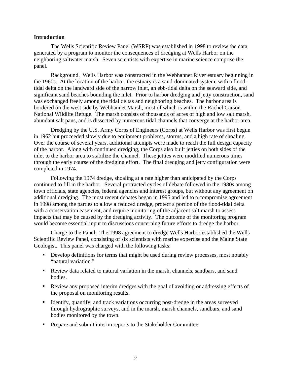#### **Introduction**

The Wells Scientific Review Panel (WSRP) was established in 1998 to review the data generated by a program to monitor the consequences of dredging at Wells Harbor on the neighboring saltwater marsh. Seven scientists with expertise in marine science comprise the panel.

Background. Wells Harbor was constructed in the Webhannet River estuary beginning in the 1960s. At the location of the harbor, the estuary is a sand-dominated system, with a floodtidal delta on the landward side of the narrow inlet, an ebb-tidal delta on the seaward side, and significant sand beaches bounding the inlet. Prior to harbor dredging and jetty construction, sand was exchanged freely among the tidal deltas and neighboring beaches. The harbor area is bordered on the west side by Webhannet Marsh, most of which is within the Rachel Carson National Wildlife Refuge. The marsh consists of thousands of acres of high and low salt marsh, abundant salt pans, and is dissected by numerous tidal channels that converge at the harbor area.

Dredging by the U.S. Army Corps of Engineers (Corps) at Wells Harbor was first begun in 1962 but proceeded slowly due to equipment problems, storms, and a high rate of shoaling. Over the course of several years, additional attempts were made to reach the full design capacity of the harbor. Along with continued dredging, the Corps also built jetties on both sides of the inlet to the harbor area to stabilize the channel. These jetties were modified numerous times through the early course of the dredging effort. The final dredging and jetty configuration were completed in 1974.

Following the 1974 dredge, shoaling at a rate higher than anticipated by the Corps continued to fill in the harbor. Several protracted cycles of debate followed in the 1980s among town officials, state agencies, federal agencies and interest groups, but without any agreement on additional dredging. The most recent debates began in 1995 and led to a compromise agreement in 1998 among the parties to allow a reduced dredge, protect a portion of the flood-tidal delta with a conservation easement, and require monitoring of the adjacent salt marsh to assess impacts that may be caused by the dredging activity. The outcome of the monitoring program would become essential input to discussions concerning future efforts to dredge the harbor.

Charge to the Panel. The 1998 agreement to dredge Wells Harbor established the Wells Scientific Review Panel, consisting of six scientists with marine expertise and the Maine State Geologist. This panel was charged with the following tasks:

- Develop definitions for terms that might be used during review processes, most notably "natural variation."
- Review data related to natural variation in the marsh, channels, sandbars, and sand bodies.
- Review any proposed interim dredges with the goal of avoiding or addressing effects of the proposal on monitoring results.
- Identify, quantify, and track variations occurring post-dredge in the areas surveyed through hydrographic surveys, and in the marsh, marsh channels, sandbars, and sand bodies monitored by the town.
- **Prepare and submit interim reports to the Stakeholder Committee.**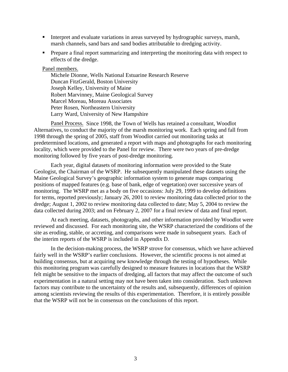- Interpret and evaluate variations in areas surveyed by hydrographic surveys, marsh, marsh channels, sand bars and sand bodies attributable to dredging activity.
- **Prepare a final report summarizing and interpreting the monitoring data with respect to** effects of the dredge.

#### Panel members.

 Michele Dionne, Wells National Estuarine Research Reserve Duncan FitzGerald, Boston University Joseph Kelley, University of Maine Robert Marvinney, Maine Geological Survey Marcel Moreau, Moreau Associates Peter Rosen, Northeastern University Larry Ward, University of New Hampshire

Panel Process. Since 1998, the Town of Wells has retained a consultant, Woodlot Alternatives, to conduct the majority of the marsh monitoring work. Each spring and fall from 1998 through the spring of 2005, staff from Woodlot carried out monitoring tasks at predetermined locations, and generated a report with maps and photographs for each monitoring locality, which were provided to the Panel for review. There were two years of pre-dredge monitoring followed by five years of post-dredge monitoring.

Each year, digital datasets of monitoring information were provided to the State Geologist, the Chairman of the WSRP. He subsequently manipulated these datasets using the Maine Geological Survey's geographic information system to generate maps comparing positions of mapped features (e.g. base of bank, edge of vegetation) over successive years of monitoring. The WSRP met as a body on five occasions: July 29, 1999 to develop definitions for terms, reported previously; January 26, 2001 to review monitoring data collected prior to the dredge; August 1, 2002 to review monitoring data collected to date; May 5, 2004 to review the data collected during 2003; and on February 2, 2007 for a final review of data and final report.

At each meeting, datasets, photographs, and other information provided by Woodlot were reviewed and discussed. For each monitoring site, the WSRP characterized the conditions of the site as eroding, stable, or accreting, and comparisons were made in subsequent years. Each of the interim reports of the WSRP is included in Appendix D.

In the decision-making process, the WSRP strove for consensus, which we have achieved fairly well in the WSRP's earlier conclusions. However, the scientific process is not aimed at building consensus, but at acquiring new knowledge through the testing of hypotheses. While this monitoring program was carefully designed to measure features in locations that the WSRP felt might be sensitive to the impacts of dredging, all factors that may affect the outcome of such experimentation in a natural setting may not have been taken into consideration. Such unknown factors may contribute to the uncertainty of the results and, subsequently, differences of opinion among scientists reviewing the results of this experimentation. Therefore, it is entirely possible that the WSRP will not be in consensus on the conclusions of this report.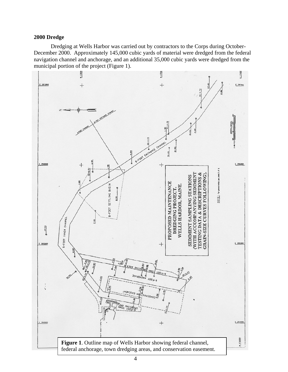## **2000 Dredge**

 Dredging at Wells Harbor was carried out by contractors to the Corps during October-December 2000. Approximately 145,000 cubic yards of material were dredged from the federal navigation channel and anchorage, and an additional 35,000 cubic yards were dredged from the municipal portion of the project (Figure 1).

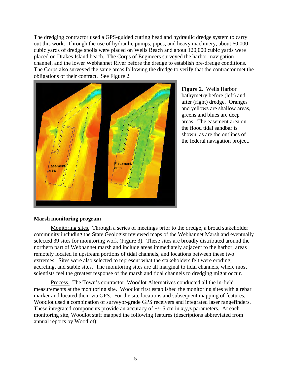The dredging contractor used a GPS-guided cutting head and hydraulic dredge system to carry out this work. Through the use of hydraulic pumps, pipes, and heavy machinery, about 60,000 cubic yards of dredge spoils were placed on Wells Beach and about 120,000 cubic yards were placed on Drakes Island beach. The Corps of Engineers surveyed the harbor, navigation channel, and the lower Webhannet River before the dredge to establish pre-dredge conditions. The Corps also surveyed the same areas following the dredge to verify that the contractor met the obligations of their contract. See Figure 2.



**Figure 2.** Wells Harbor bathymetry before (left) and after (right) dredge. Oranges and yellows are shallow areas, greens and blues are deep areas. The easement area on the flood tidal sandbar is shown, as are the outlines of the federal navigati on project.

# **Marsh monitoring program**

Monitoring sites. Through a series of meetings prior to the dredge, a broad stakeholder community including the State Geologist reviewed maps of the Webhannet Marsh and eventually selected 39 sites for monitoring work (Figure 3). These sites are broadly distributed around the northern part of Webhannet marsh and include areas immediately adjacent to the harbor, areas remotely located in upstream portions of tidal channels, and locations between these two extremes. Sites were also selected to represent what the stakeholders felt were eroding, accreting, and stable sites. The monitoring sites are all marginal to tidal channels, where most scientists feel the greatest response of the marsh and tidal channels to dredging might occur.

Process. The Town's contractor, Woodlot Alternatives conducted all the in-field measurements at the monitoring site. Woodlot first established the monitoring sites with a rebar marker and located them via GPS. For the site locations and subsequent mapping of features, Woodlot used a combination of surveyor-grade GPS receivers and integrated laser rangefinders. These integrated components provide an accuracy of  $+/-$  5 cm in x,y,z parameters. At each monitoring site, Woodlot staff mapped the following features (descriptions abbreviated from annual reports by Woodlot):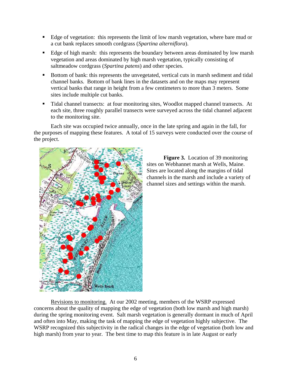- Edge of vegetation: this represents the limit of low marsh vegetation, where bare mud or a cut bank replaces smooth cordgrass (*Spartina alterniflora*).
- Edge of high marsh: this represents the boundary between areas dominated by low marsh vegetation and areas dominated by high marsh vegetation, typically consisting of saltmeadow cordgrass (*Spartina patens*) and other species.
- Bottom of bank: this represents the unvegetated, vertical cuts in marsh sediment and tidal channel banks. Bottom of bank lines in the datasets and on the maps may represent vertical banks that range in height from a few centimeters to more than 3 meters. Some sites include multiple cut banks.
- Tidal channel transects: at four monitoring sites, Woodlot mapped channel transects. At each site, three roughly parallel transects were surveyed across the tidal channel adjacent to the monitoring site.

Each site was occupied twice annually, once in the late spring and again in the fall, for the purposes of mapping these features. A total of 15 surveys were conducted over the course of the project.



**Figure 3.** Location of 39 monitoring sites on Webhannet marsh at Wells, Maine. Sites are located along the margins of tidal channels in the marsh and include a variety of channel sizes and settings within the marsh.

Revisions to monitoring. At our 2002 meeting, members of the WSRP expressed concerns about the quality of mapping the edge of vegetation (both low marsh and high marsh) during the spring monitoring event. Salt marsh vegetation is generally dormant in much of April and often into May, making the task of mapping the edge of vegetation highly subjective. The WSRP recognized this subjectivity in the radical changes in the edge of vegetation (both low and high marsh) from year to year. The best time to map this feature is in late August or early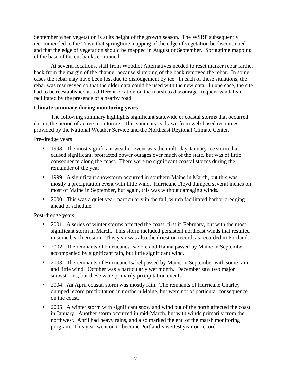September when vegetation is at its height of the growth season. The WSRP subsequently recommended to the Town that springtime mapping of the edge of vegetation be discontinued and that the edge of vegetation should be mapped in August or September. Springtime mapping of the base of the cut banks continued.

At several locations, staff from Woodlot Alternatives needed to reset marker rebar farther back from the margin of the channel because slumping of the bank removed the rebar. In some cases the rebar may have been lost due to dislodgement by ice. In each of these situations, the rebar was resurveyed so that the older data could be used with the new data. In one case, the site had to be reestablished at a different location on the marsh to discourage frequent vandalism facilitated by the presence of a nearby road.

# **Climate summary during monitoring years**

The following summary highlights significant statewide or coastal storms that occurred during the period of active monitoring. This summary is drawn from web-based resources provided by the National Weather Service and the Northeast Regional Climate Center.

# Pre-dredge years

- **1998:** The most significant weather event was the multi-day January ice storm that caused significant, protracted power outages over much of the state, but was of little consequence along the coast. There were no significant coastal storms during the remainder of the year.
- <sup>1999</sup>: A significant snowstorm occurred in southern Maine in March, but this was mostly a precipitation event with little wind. Hurricane Floyd dumped several inches on most of Maine in September, but again, this was without damaging winds.
- **2000:** This was a quiet year, particularly in the fall, which facilitated harbor dredging ahead of schedule.

# Post-dredge years

- 2001: A series of winter storms affected the coast, first in February, but with the most significant storm in March. This storm included persistent northeast winds that resulted in some beach erosion. This year was also the driest on record, as recorded in Portland.
- **2002:** The remnants of Hurricanes Isadore and Hanna passed by Maine in September accompanied by significant rain, but little significant wind.
- **2003:** The remnants of Hurricane Isabel passed by Maine in September with some rain and little wind. October was a particularly wet month. December saw two major snowstorms, but these were primarily precipitation events.
- 2004: An April coastal storm was mostly rain. The remnants of Hurricane Charley dumped record precipitation in northern Maine, but were not of particular consequence on the coast.
- <sup>2005</sup>: A winter storm with significant snow and wind out of the north affected the coast in January. Another storm occurred in mid-March, but with winds primarily from the northwest. April had heavy rains, and also marked the end of the marsh monitoring program. This year went on to become Portland's wettest year on record.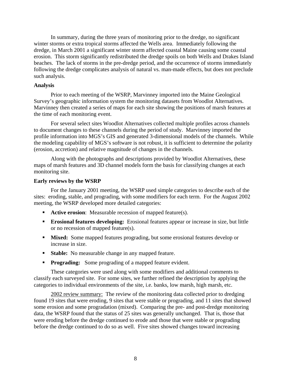In summary, during the three years of monitoring prior to the dredge, no significant winter storms or extra tropical storms affected the Wells area. Immediately following the dredge, in March 2001 a significant winter storm affected coastal Maine causing some coastal erosion. This storm significantly redistributed the dredge spoils on both Wells and Drakes Island beaches. The lack of storms in the pre-dredge period, and the occurrence of storms immediately following the dredge complicates analysis of natural vs. man-made effects, but does not preclude such analysis.

#### **Analysis**

 Prior to each meeting of the WSRP, Marvinney imported into the Maine Geological Survey's geographic information system the monitoring datasets from Woodlot Alternatives. Marvinney then created a series of maps for each site showing the positions of marsh features at the time of each monitoring event.

For several select sites Woodlot Alternatives collected multiple profiles across channels to document changes to these channels during the period of study. Marvinney imported the profile information into MGS's GIS and generated 3-dimensional models of the channels. While the modeling capability of MGS's software is not robust, it is sufficient to determine the polarity (erosion, accretion) and relative magnitude of changes in the channels.

Along with the photographs and descriptions provided by Woodlot Alternatives, these maps of marsh features and 3D channel models form the basis for classifying changes at each monitoring site.

### **Early reviews by the WSRP**

For the January 2001 meeting, the WSRP used simple categories to describe each of the sites: eroding, stable, and prograding, with some modifiers for each term. For the August 2002 meeting, the WSRP developed more detailed categories:

- **Active erosion**: Measurable recession of mapped feature(s).
- **Erosional features developing:** Erosional features appear or increase in size, but little or no recession of mapped feature(s).
- **Mixed:** Some mapped features prograding, but some erosional features develop or increase in size.
- **Stable:** No measurable change in any mapped feature.
- **Prograding:** Some prograding of a mapped feature evident.

These categories were used along with some modifiers and additional comments to classify each surveyed site. For some sites, we further refined the description by applying the categories to individual environments of the site, i.e. banks, low marsh, high marsh, etc.

2002 review summary: The review of the monitoring data collected prior to dredging found 19 sites that were eroding, 9 sites that were stable or prograding, and 11 sites that showed some erosion and some progradation (mixed). Comparing the pre- and post-dredge monitoring data, the WSRP found that the status of 25 sites was generally unchanged. That is, those that were eroding before the dredge continued to erode and those that were stable or prograding before the dredge continued to do so as well. Five sites showed changes toward increasing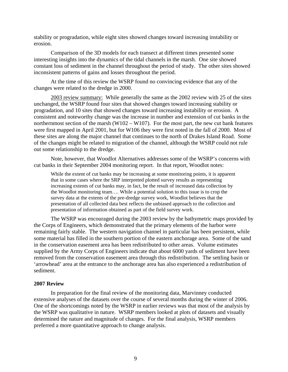stability or progradation, while eight sites showed changes toward increasing instability or erosion.

Comparison of the 3D models for each transect at different times presented some interesting insights into the dynamics of the tidal channels in the marsh. One site showed constant loss of sediment in the channel throughout the period of study. The other sites showed inconsistent patterns of gains and losses throughout the period.

At the time of this review the WSRP found no convincing evidence that any of the changes were related to the dredge in 2000.

2003 review summary: While generally the same as the 2002 review with 25 of the sites unchanged, the WSRP found four sites that showed changes toward increasing stability or progradation, and 10 sites that showed changes toward increasing instability or erosion. A consistent and noteworthy change was the increase in number and extension of cut banks in the northernmost section of the marsh (W102 – W107). For the most part, the new cut bank features were first mapped in April 2001, but for W106 they were first noted in the fall of 2000. Most of these sites are along the major channel that continues to the north of Drakes Island Road. Some of the changes might be related to migration of the channel, although the WSRP could not rule out some relationship to the dredge.

Note, however, that Woodlot Alternatives addresses some of the WSRP's concerns with cut banks in their September 2004 monitoring report. In that report, Woodlot notes:

While the extent of cut banks may be increasing at some monitoring points, it is apparent that in some cases where the SRP interpreted plotted survey results as representing increasing extents of cut banks may, in fact, be the result of increased data collection by the Woodlot monitoring team…. While a potential solution to this issue is to crop the survey data at the extents of the pre-dredge survey work, Woodlot believes that the presentation of all collected data best reflects the unbiased approach to the collection and presentation of information obtained as part of the field survey work.

The WSRP was encouraged during the 2003 review by the bathymetric maps provided by the Corps of Engineers, which demonstrated that the primary elements of the harbor were remaining fairly stable. The western navigation channel in particular has been persistent, while some material has filled in the southern portion of the eastern anchorage area. Some of the sand in the conservation easement area has been redistributed to other areas. Volume estimates supplied by the Army Corps of Engineers indicate that about 6000 yards of sediment have been removed from the conservation easement area through this redistribution. The settling basin or 'arrowhead' area at the entrance to the anchorage area has also experienced a redistribution of sediment.

#### **2007 Review**

In preparation for the final review of the monitoring data, Marvinney conducted extensive analyses of the datasets over the course of several months during the winter of 2006. One of the shortcomings noted by the WSRP in earlier reviews was that most of the analysis by the WSRP was qualitative in nature. WSRP members looked at plots of datasets and visually determined the nature and magnitude of changes. For the final analysis, WSRP members preferred a more quantitative approach to change analysis.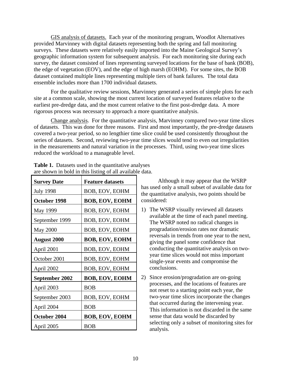GIS analysis of datasets. Each year of the monitoring program, Woodlot Alternatives provided Marvinney with digital datasets representing both the spring and fall monitoring surveys. These datasets were relatively easily imported into the Maine Geological Survey's geographic information system for subsequent analysis. For each monitoring site during each survey, the dataset consisted of lines representing surveyed locations for the base of bank (BOB), the edge of vegetation (EOV), and the edge of high marsh (EOHM). For some sites, the BOB dataset contained multiple lines representing multiple tiers of bank failures. The total data ensemble includes more than 1700 individual datasets.

For the qualitative review sessions, Marvinney generated a series of simple plots for each site at a common scale, showing the most current location of surveyed features relative to the earliest pre-dredge data, and the most current relative to the first post-dredge data. A more rigorous process was necessary to approach a more quantitative analysis.

Change analysis. For the quantitative analysis, Marvinney compared two-year time slices of datasets. This was done for three reasons. First and most importantly, the pre-dredge datasets covered a two-year period, so no lengthier time slice could be used consistently throughout the series of datasets. Second, reviewing two-year time slices would tend to even out irregularities in the measurements and natural variation in the processes. Third, using two-year time slices reduced the workload to a manageable level.

| <b>Survey Date</b>    | <b>Feature datasets</b> |
|-----------------------|-------------------------|
| <b>July 1998</b>      | BOB, EOV, EOHM          |
| October 1998          | <b>BOB, EOV, EOHM</b>   |
| <b>May 1999</b>       | BOB, EOV, EOHM          |
| September 1999        | BOB, EOV, EOHM          |
| <b>May 2000</b>       | BOB, EOV, EOHM          |
| <b>August 2000</b>    | <b>BOB, EOV, EOHM</b>   |
| April 2001            | BOB, EOV, EOHM          |
| October 2001          | BOB, EOV, EOHM          |
| April 2002            | BOB, EOV, EOHM          |
| <b>September 2002</b> | <b>BOB, EOV, EOHM</b>   |
| April 2003            | <b>BOB</b>              |
| September 2003        | BOB, EOV, EOHM          |
| April 2004            | <b>BOB</b>              |
| October 2004          | <b>BOB, EOV, EOHM</b>   |
| April 2005            | BOB                     |

| <b>Table 1.</b> Datasets used in the quantitative analyses |  |
|------------------------------------------------------------|--|
| are shown in bold in this listing of all available data.   |  |

Although it may appear that the WSRP has used only a small subset of available data for the quantitative analysis, two points should be considered:

- 1) The WSRP visually reviewed all datasets available at the time of each panel meeting. The WSRP noted no radical changes in progradation/erosion rates nor dramatic reversals in trends from one year to the next, giving the panel some confidence that conducting the quantitative analysis on twoyear time slices would not miss important single-year events and compromise the conclusions.
- 2) Since erosion/progradation are on-going processes, and the locations of features are not reset to a starting point each year, the two-year time slices incorporate the changes that occurred during the intervening year. This information is not discarded in the same sense that data would be discarded by selecting only a subset of monitoring sites for analysis.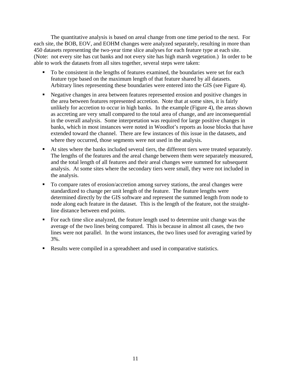The quantitative analysis is based on areal change from one time period to the next. For each site, the BOB, EOV, and EOHM changes were analyzed separately, resulting in more than 450 datasets representing the two-year time slice analyses for each feature type at each site. (Note: not every site has cut banks and not every site has high marsh vegetation.) In order to be able to work the datasets from all sites together, several steps were taken:

- To be consistent in the lengths of features examined, the boundaries were set for each feature type based on the maximum length of that feature shared by all datasets. Arbitrary lines representing these boundaries were entered into the GIS (see Figure 4).
- Negative changes in area between features represented erosion and positive changes in the area between features represented accretion. Note that at some sites, it is fairly unlikely for accretion to occur in high banks. In the example (Figure 4), the areas shown as accreting are very small compared to the total area of change, and are inconsequential in the overall analysis. Some interpretation was required for large positive changes in banks, which in most instances were noted in Woodlot's reports as loose blocks that have extended toward the channel. There are few instances of this issue in the datasets, and where they occurred, those segments were not used in the analysis.
- At sites where the banks included several tiers, the different tiers were treated separately. The lengths of the features and the areal change between them were separately measured, and the total length of all features and their areal changes were summed for subsequent analysis. At some sites where the secondary tiers were small, they were not included in the analysis.
- To compare rates of erosion/accretion among survey stations, the areal changes were standardized to change per unit length of the feature. The feature lengths were determined directly by the GIS software and represent the summed length from node to node along each feature in the dataset. This is the length of the feature, not the straightline distance between end points.
- For each time slice analyzed, the feature length used to determine unit change was the average of the two lines being compared. This is because in almost all cases, the two lines were not parallel. In the worst instances, the two lines used for averaging varied by 3%.
- Results were compiled in a spreadsheet and used in comparative statistics.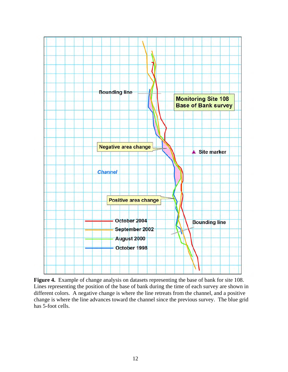

**Figure 4.** Example of change analysis on datasets representing the base of bank for site 108. Lines representing the position of the base of bank during the time of each survey are shown in different colors. A negative change is where the line retreats from the channel, and a positive change is where the line advances toward the channel since the previous survey. The blue grid has 5-foot cells.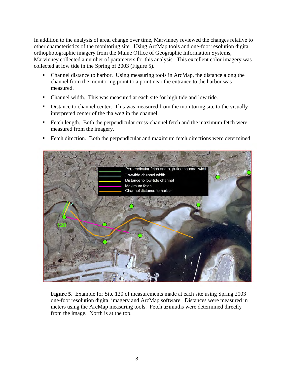In addition to the analysis of areal change over time, Marvinney reviewed the changes relative to other characteristics of the monitoring site. Using ArcMap tools and one-foot resolution digital orthophotographic imagery from the Maine Office of Geographic Information Systems, Marvinney collected a number of parameters for this analysis. This excellent color imagery was collected at low tide in the Spring of 2003 (Figure 5).

- Channel distance to harbor. Using measuring tools in ArcMap, the distance along the channel from the monitoring point to a point near the entrance to the harbor was measured.
- Channel width. This was measured at each site for high tide and low tide.
- Distance to channel center. This was measured from the monitoring site to the visually interpreted center of the thalweg in the channel.
- Fetch length. Both the perpendicular cross-channel fetch and the maximum fetch were measured from the imagery.
- Fetch direction. Both the perpendicular and maximum fetch directions were determined.



**Figure 5**. Example for Site 120 of measurements made at each site using Spring 2003 one-foot resolution digital imagery and ArcMap software. Distances were measured in meters using the ArcMap measuring tools. Fetch azimuths were determined directly from the image. North is at the top.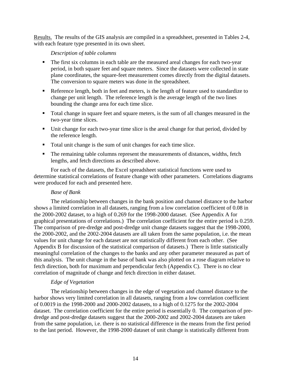Results. The results of the GIS analysis are compiled in a spreadsheet, presented in Tables 2-4, with each feature type presented in its own sheet.

# *Description of table columns*

- The first six columns in each table are the measured areal changes for each two-year period, in both square feet and square meters. Since the datasets were collected in state plane coordinates, the square-feet measurement comes directly from the digital datasets. The conversion to square meters was done in the spreadsheet.
- Reference length, both in feet and meters, is the length of feature used to standardize to change per unit length. The reference length is the average length of the two lines bounding the change area for each time slice.
- Total change in square feet and square meters, is the sum of all changes measured in the two-year time slices.
- Unit change for each two-year time slice is the areal change for that period, divided by the reference length.
- Total unit change is the sum of unit changes for each time slice.
- The remaining table columns represent the measurements of distances, widths, fetch lengths, and fetch directions as described above.

For each of the datasets, the Excel spreadsheet statistical functions were used to determine statistical correlations of feature change with other parameters. Correlations diagrams were produced for each and presented here.

# *Base of Bank*

The relationship between changes in the bank position and channel distance to the harbor shows a limited correlation in all datasets, ranging from a low correlation coefficient of 0.08 in the 2000-2002 dataset, to a high of 0.269 for the 1998-2000 dataset. (See Appendix A for graphical presentations of correlations.) The correlation coefficient for the entire period is 0.259. The comparison of pre-dredge and post-dredge unit change datasets suggest that the 1998-2000, the 2000-2002, and the 2002-2004 datasets are all taken from the same population, i.e. the mean values for unit change for each dataset are not statistically different from each other. (See Appendix B for discussion of the statistical comparison of datasets.) There is little statistically meaningful correlation of the changes to the banks and any other parameter measured as part of this analysis. The unit change in the base of bank was also plotted on a rose diagram relative to fetch direction, both for maximum and perpendicular fetch (Appendix C). There is no clear correlation of magnitude of change and fetch direction in either dataset.

# *Edge of Vegetation*

The relationship between changes in the edge of vegetation and channel distance to the harbor shows very limited correlation in all datasets, ranging from a low correlation coefficient of 0.0019 in the 1998-2000 and 2000-2002 datasets, to a high of 0.1275 for the 2002-2004 dataset. The correlation coefficient for the entire period is essentially 0. The comparison of predredge and post-dredge datasets suggest that the 2000-2002 and 2002-2004 datasets are taken from the same population, i.e. there is no statistical difference in the means from the first period to the last period. However, the 1998-2000 dataset of unit change is statistically different from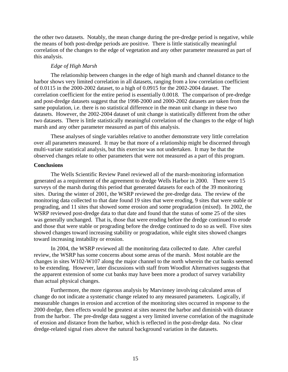the other two datasets. Notably, the mean change during the pre-dredge period is negative, while the means of both post-dredge periods are positive. There is little statistically meaningful correlation of the changes to the edge of vegetation and any other parameter measured as part of this analysis.

## *Edge of High Marsh*

The relationship between changes in the edge of high marsh and channel distance to the harbor shows very limited correlation in all datasets, ranging from a low correlation coefficient of 0.0115 in the 2000-2002 dataset, to a high of 0.0915 for the 2002-2004 dataset. The correlation coefficient for the entire period is essentially 0.0018. The comparison of pre-dredge and post-dredge datasets suggest that the 1998-2000 and 2000-2002 datasets are taken from the same population, i.e. there is no statistical difference in the mean unit change in these two datasets. However, the 2002-2004 dataset of unit change is statistically different from the other two datasets. There is little statistically meaningful correlation of the changes to the edge of high marsh and any other parameter measured as part of this analysis.

These analyses of single variables relative to another demonstrate very little correlation over all parameters measured. It may be that more of a relationship might be discerned through multi-variate statistical analysis, but this exercise was not undertaken. It may be that the observed changes relate to other parameters that were not measured as a part of this program.

## **Conclusions**

The Wells Scientific Review Panel reviewed all of the marsh-monitoring information generated as a requirement of the agreement to dredge Wells Harbor in 2000. There were 15 surveys of the marsh during this period that generated datasets for each of the 39 monitoring sites. During the winter of 2001, the WSRP reviewed the pre-dredge data. The review of the monitoring data collected to that date found 19 sites that were eroding, 9 sites that were stable or prograding, and 11 sites that showed some erosion and some progradation (mixed). In 2002, the WSRP reviewed post-dredge data to that date and found that the status of some 25 of the sites was generally unchanged. That is, those that were eroding before the dredge continued to erode and those that were stable or prograding before the dredge continued to do so as well. Five sites showed changes toward increasing stability or progradation, while eight sites showed changes toward increasing instability or erosion.

In 2004, the WSRP reviewed all the monitoring data collected to date. After careful review, the WSRP has some concerns about some areas of the marsh. Most notable are the changes in sites W102-W107 along the major channel to the north wherein the cut banks seemed to be extending. However, later discussions with staff from Woodlot Alternatives suggests that the apparent extension of some cut banks may have been more a product of survey variability than actual physical changes.

Furthermore, the more rigorous analysis by Marvinney involving calculated areas of change do not indicate a systematic change related to any measured parameters. Logically, if measurable changes in erosion and accretion of the monitoring sites occurred in response to the 2000 dredge, then effects would be greatest at sites nearest the harbor and diminish with distance from the harbor. The pre-dredge data suggest a very limited inverse correlation of the magnitude of erosion and distance from the harbor, which is reflected in the post-dredge data. No clear dredge-related signal rises above the natural background variation in the datasets.